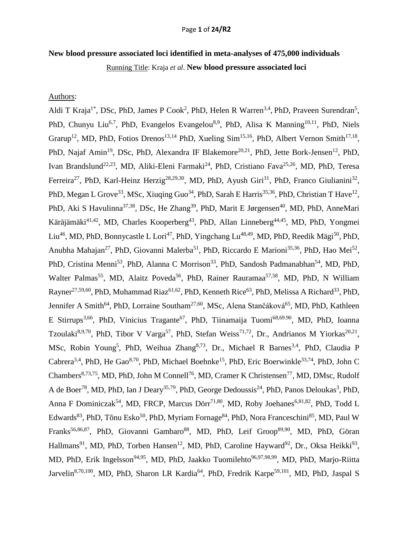# **New blood pressure associated loci identified in meta-analyses of 475,000 individuals**

Running Title: Kraja *et al*. **New blood pressure associated loci**

## Authors:

Aldi T Kraja<sup>1\*</sup>, DSc, PhD, James P Cook<sup>2</sup>, PhD, Helen R Warren<sup>3,4</sup>, PhD, Praveen Surendran<sup>5</sup>, PhD, Chunyu Liu<sup>6,7</sup>, PhD, Evangelos Evangelou<sup>8,9</sup>, PhD, Alisa K Manning<sup>10,11</sup>, PhD, Niels Grarup<sup>12</sup>, MD, PhD, Fotios Drenos<sup>13,14</sup> PhD, Xueling Sim<sup>15,16</sup>, PhD, Albert Vernon Smith<sup>17,18</sup>, PhD, Najaf Amin<sup>19</sup>, DSc, PhD, Alexandra IF Blakemore<sup>20,21</sup>, PhD, Jette Bork-Jensen<sup>12</sup>, PhD, Ivan Brandslund<sup>22,23</sup>, MD, Aliki-Eleni Farmaki<sup>24</sup>, PhD, Cristiano Fava<sup>25,26</sup>, MD, PhD, Teresa Ferreira<sup>27</sup>, PhD, Karl-Heinz Herzig<sup>28,29,30</sup>, MD, PhD, Ayush Giri<sup>31</sup>, PhD, Franco Giulianini<sup>32</sup>, PhD, Megan L Grove<sup>33</sup>, MSc, Xiuqing Guo<sup>34</sup>, PhD, Sarah E Harris<sup>35,36</sup>, PhD, Christian T Have<sup>12</sup>, PhD, Aki S Havulinna<sup>37,38</sup>, DSc, He Zhang<sup>39</sup>, PhD, Marit E Jørgensen<sup>40</sup>, MD, PhD, AnneMari Käräjämäki<sup>41,42</sup>, MD, Charles Kooperberg<sup>43</sup>, PhD, Allan Linneberg<sup>44,45</sup>, MD, PhD, Yongmei Liu<sup>46</sup>, MD, PhD, Bonnycastle L Lori<sup>47</sup>, PhD, Yingchang Lu<sup>48,49</sup>, MD, PhD, Reedik Mägi<sup>50</sup>, PhD, Anubha Mahajan<sup>27</sup>, PhD, Giovanni Malerba<sup>51</sup>, PhD, Riccardo E Marioni<sup>35,36</sup>, PhD, Hao Mei<sup>52</sup>, PhD, Cristina Menni<sup>53</sup>, PhD, Alanna C Morrison<sup>33</sup>, PhD, Sandosh Padmanabhan<sup>54</sup>, MD, PhD, Walter Palmas<sup>55</sup>, MD, Alaitz Poveda<sup>56</sup>, PhD, Rainer Rauramaa<sup>57,58</sup>, MD, PhD, N William Rayner<sup>27,59,60</sup>, PhD, Muhammad Riaz<sup>61,62</sup>, PhD, Kenneth Rice<sup>63</sup>, PhD, Melissa A Richard<sup>33</sup>, PhD, Jennifer A Smith<sup>64</sup>, PhD, Lorraine Southam<sup>27,60</sup>, MSc, Alena Stančáková<sup>65</sup>, MD, PhD, Kathleen E Stirrups<sup>3,66</sup>, PhD, Vinicius Tragante<sup>67</sup>, PhD, Tiinamaija Tuomi<sup>68,69.90</sup>, MD, PhD, Ioanna Tzoulaki<sup>8,9,70</sup>, PhD, Tibor V Varga<sup>57</sup>, PhD, Stefan Weiss<sup>71,72</sup>, Dr., Andrianos M Yiorkas<sup>20,21</sup>, MSc, Robin Young<sup>5</sup>, PhD, Weihua Zhang<sup>8,73</sup>, Dr., Michael R Barnes<sup>3,4</sup>, PhD, Claudia P Cabrera<sup>3,4</sup>, PhD, He Gao<sup>8,70</sup>, PhD, Michael Boehnke<sup>15</sup>, PhD, Eric Boerwinkle<sup>33,74</sup>, PhD, John C Chambers<sup>8,73,75</sup>, MD, PhD, John M Connell<sup>76</sup>, MD, Cramer K Christensen<sup>77</sup>, MD, DMsc, Rudolf A de Boer<sup>78</sup>, MD, PhD, Ian J Deary<sup>35,79</sup>, PhD, George Dedoussis<sup>24</sup>, PhD, Panos Deloukas<sup>3</sup>, PhD, Anna F Dominiczak<sup>54</sup>, MD, FRCP, Marcus Dörr<sup>71,80</sup>, MD, Roby Joehanes<sup>6,81,82</sup>, PhD, Todd L Edwards<sup>83</sup>, PhD, Tõnu Esko<sup>50</sup>, PhD, Myriam Fornage<sup>84</sup>, PhD, Nora Franceschini<sup>85</sup>, MD, Paul W Franks<sup>56,86,87</sup>, PhD, Giovanni Gambaro<sup>88</sup>, MD, PhD, Leif Groop<sup>89,90</sup>, MD, PhD, Göran Hallmans<sup>91</sup>, MD, PhD, Torben Hansen<sup>12</sup>, MD, PhD, Caroline Hayward<sup>92</sup>, Dr., Oksa Heikki<sup>93</sup>, MD, PhD, Erik Ingelsson<sup>94,95</sup>, MD, PhD, Jaakko Tuomilehto<sup>96,97,98,99</sup>, MD, PhD, Marjo-Riitta Jarvelin<sup>8,70,100</sup>, MD, PhD, Sharon LR Kardia<sup>64</sup>, PhD, Fredrik Karpe<sup>59,101</sup>, MD, PhD, Jaspal S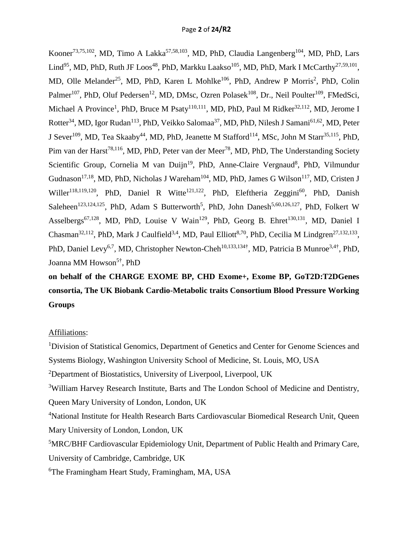Kooner<sup>73,75,102</sup>, MD, Timo A Lakka<sup>57,58,103</sup>, MD, PhD, Claudia Langenberg<sup>104</sup>, MD, PhD, Lars Lind<sup>95</sup>, MD, PhD, Ruth JF Loos<sup>48</sup>, PhD, Markku Laakso<sup>105</sup>, MD, PhD, Mark I McCarthy<sup>27,59,101</sup>, MD, Olle Melander<sup>25</sup>, MD, PhD, Karen L Mohlke<sup>106</sup>, PhD, Andrew P Morris<sup>2</sup>, PhD, Colin Palmer<sup>107</sup>, PhD, Oluf Pedersen<sup>12</sup>, MD, DMsc, Ozren Polasek<sup>108</sup>, Dr., Neil Poulter<sup>109</sup>, FMedSci, Michael A Province<sup>1</sup>, PhD, Bruce M Psaty<sup>110,111</sup>, MD, PhD, Paul M Ridker<sup>32,112</sup>, MD, Jerome I Rotter<sup>34</sup>, MD, Igor Rudan<sup>113</sup>, PhD, Veikko Salomaa<sup>37</sup>, MD, PhD, Nilesh J Samani<sup>61,62</sup>, MD, Peter J Sever<sup>109</sup>, MD, Tea Skaaby<sup>44</sup>, MD, PhD, Jeanette M Stafford<sup>114</sup>, MSc, John M Starr<sup>35,115</sup>, PhD, Pim van der Harst<sup>78,116</sup>, MD, PhD, Peter van der Meer<sup>78</sup>, MD, PhD, The Understanding Society Scientific Group, Cornelia M van Duijn<sup>19</sup>, PhD, Anne-Claire Vergnaud<sup>8</sup>, PhD, Vilmundur Gudnason<sup>17,18</sup>, MD, PhD, Nicholas J Wareham<sup>104</sup>, MD, PhD, James G Wilson<sup>117</sup>, MD, Cristen J Willer<sup>118,119,120</sup>, PhD, Daniel R Witte<sup>121,122</sup>, PhD, Eleftheria Zeggini<sup>60</sup>, PhD, Danish Saleheen<sup>123,124,125</sup>, PhD, Adam S Butterworth<sup>5</sup>, PhD, John Danesh<sup>5,60,126,127</sup>, PhD, Folkert W Asselbergs<sup>67,128</sup>, MD, PhD, Louise V Wain<sup>129</sup>, PhD, Georg B. Ehret<sup>130,131</sup>, MD, Daniel I Chasman<sup>32,112</sup>, PhD, Mark J Caulfield<sup>3,4</sup>, MD, Paul Elliott<sup>8,70</sup>, PhD, Cecilia M Lindgren<sup>27,132,133</sup>, PhD, Daniel Levy<sup>6,7</sup>, MD, Christopher Newton-Cheh<sup>10,133,134†</sup>, MD, Patricia B Munroe<sup>3,4†</sup>, PhD, Joanna MM Howson<sup>5†</sup>, PhD

# **on behalf of the CHARGE EXOME BP, CHD Exome+, Exome BP, GoT2D:T2DGenes consortia, The UK Biobank Cardio-Metabolic traits Consortium Blood Pressure Working Groups**

## Affiliations:

<sup>1</sup>Division of Statistical Genomics, Department of Genetics and Center for Genome Sciences and Systems Biology, Washington University School of Medicine, St. Louis, MO, USA <sup>2</sup>Department of Biostatistics, University of Liverpool, Liverpool, UK <sup>3</sup>William Harvey Research Institute, Barts and The London School of Medicine and Dentistry, Queen Mary University of London, London, UK <sup>4</sup>National Institute for Health Research Barts Cardiovascular Biomedical Research Unit, Queen Mary University of London, London, UK <sup>5</sup>MRC/BHF Cardiovascular Epidemiology Unit, Department of Public Health and Primary Care, University of Cambridge, Cambridge, UK

<sup>6</sup>The Framingham Heart Study, Framingham, MA, USA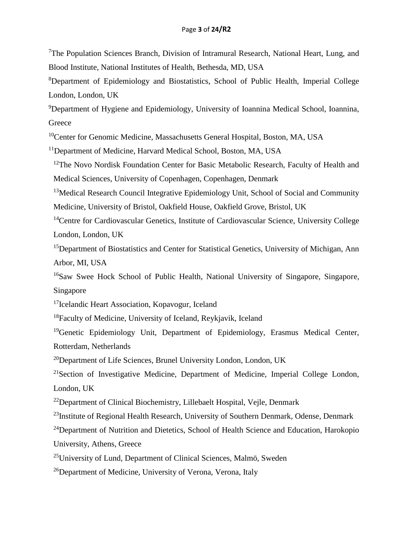<sup>7</sup>The Population Sciences Branch, Division of Intramural Research, National Heart, Lung, and Blood Institute, National Institutes of Health, Bethesda, MD, USA

<sup>8</sup>Department of Epidemiology and Biostatistics, School of Public Health, Imperial College London, London, UK

<sup>9</sup>Department of Hygiene and Epidemiology, University of Ioannina Medical School, Ioannina, **Greece** 

<sup>10</sup>Center for Genomic Medicine, Massachusetts General Hospital, Boston, MA, USA

<sup>11</sup>Department of Medicine, Harvard Medical School, Boston, MA, USA

 $12$ The Novo Nordisk Foundation Center for Basic Metabolic Research, Faculty of Health and Medical Sciences, University of Copenhagen, Copenhagen, Denmark

<sup>13</sup>Medical Research Council Integrative Epidemiology Unit, School of Social and Community Medicine, University of Bristol, Oakfield House, Oakfield Grove, Bristol, UK

<sup>14</sup>Centre for Cardiovascular Genetics, Institute of Cardiovascular Science, University College London, London, UK

<sup>15</sup>Department of Biostatistics and Center for Statistical Genetics, University of Michigan, Ann Arbor, MI, USA

<sup>16</sup>Saw Swee Hock School of Public Health, National University of Singapore, Singapore, Singapore

<sup>17</sup> Icelandic Heart Association, Kopavogur, Iceland

<sup>18</sup>Faculty of Medicine, University of Iceland, Reykjavik, Iceland

<sup>19</sup>Genetic Epidemiology Unit, Department of Epidemiology, Erasmus Medical Center, Rotterdam, Netherlands

 $^{20}$ Department of Life Sciences, Brunel University London, London, UK

<sup>21</sup>Section of Investigative Medicine, Department of Medicine, Imperial College London, London, UK

 $^{22}$ Department of Clinical Biochemistry, Lillebaelt Hospital, Vejle, Denmark

<sup>23</sup>Institute of Regional Health Research, University of Southern Denmark, Odense, Denmark

<sup>24</sup>Department of Nutrition and Dietetics, School of Health Science and Education, Harokopio University, Athens, Greece

<sup>25</sup>University of Lund, Department of Clinical Sciences, Malmö, Sweden

<sup>26</sup>Department of Medicine, University of Verona, Verona, Italy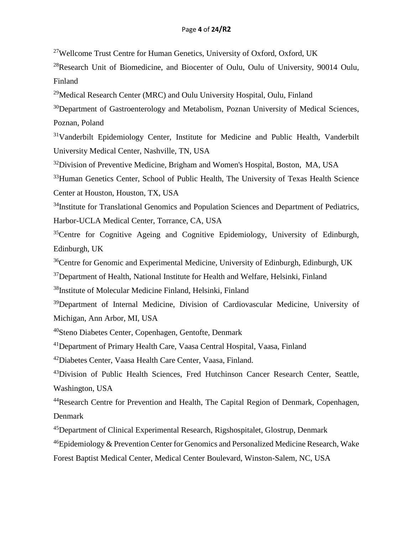<sup>27</sup>Wellcome Trust Centre for Human Genetics, University of Oxford, Oxford, UK

<sup>28</sup>Research Unit of Biomedicine, and Biocenter of Oulu, Oulu of University, 90014 Oulu, Finland

 $^{29}$ Medical Research Center (MRC) and Oulu University Hospital, Oulu, Finland

<sup>30</sup>Department of Gastroenterology and Metabolism, Poznan University of Medical Sciences, Poznan, Poland

<sup>31</sup>Vanderbilt Epidemiology Center, Institute for Medicine and Public Health, Vanderbilt University Medical Center, Nashville, TN, USA

<sup>32</sup>Division of Preventive Medicine, Brigham and Women's Hospital, Boston, MA, USA

<sup>33</sup>Human Genetics Center, School of Public Health, The University of Texas Health Science Center at Houston, Houston, TX, USA

<sup>34</sup>Institute for Translational Genomics and Population Sciences and Department of Pediatrics, Harbor-UCLA Medical Center, Torrance, CA, USA

<sup>35</sup>Centre for Cognitive Ageing and Cognitive Epidemiology, University of Edinburgh, Edinburgh, UK

<sup>36</sup>Centre for Genomic and Experimental Medicine, University of Edinburgh, Edinburgh, UK

<sup>37</sup>Department of Health, National Institute for Health and Welfare, Helsinki, Finland

<sup>38</sup>Institute of Molecular Medicine Finland, Helsinki, Finland

<sup>39</sup>Department of Internal Medicine, Division of Cardiovascular Medicine, University of Michigan, Ann Arbor, MI, USA

<sup>40</sup>Steno Diabetes Center, Copenhagen, Gentofte, Denmark

<sup>41</sup>Department of Primary Health Care, Vaasa Central Hospital, Vaasa, Finland

<sup>42</sup>Diabetes Center, Vaasa Health Care Center, Vaasa, Finland.

<sup>43</sup>Division of Public Health Sciences, Fred Hutchinson Cancer Research Center, Seattle, Washington, USA

<sup>44</sup>Research Centre for Prevention and Health, The Capital Region of Denmark, Copenhagen, Denmark

<sup>45</sup>Department of Clinical Experimental Research, Rigshospitalet, Glostrup, Denmark

 $^{46}$ Epidemiology & Prevention Center for Genomics and Personalized Medicine Research, Wake

Forest Baptist Medical Center, Medical Center Boulevard, Winston-Salem, NC, USA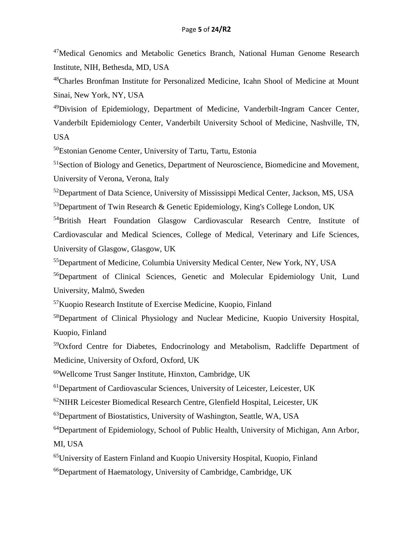<sup>47</sup>Medical Genomics and Metabolic Genetics Branch, National Human Genome Research Institute, NIH, Bethesda, MD, USA

<sup>48</sup>Charles Bronfman Institute for Personalized Medicine, Icahn Shool of Medicine at Mount Sinai, New York, NY, USA

<sup>49</sup>Division of Epidemiology, Department of Medicine, Vanderbilt-Ingram Cancer Center, Vanderbilt Epidemiology Center, Vanderbilt University School of Medicine, Nashville, TN, USA

<sup>50</sup>Estonian Genome Center, University of Tartu, Tartu, Estonia

<sup>51</sup>Section of Biology and Genetics, Department of Neuroscience, Biomedicine and Movement, University of Verona, Verona, Italy

<sup>52</sup>Department of Data Science, University of Mississippi Medical Center, Jackson, MS, USA

 $53$ Department of Twin Research & Genetic Epidemiology, King's College London, UK

<sup>54</sup>British Heart Foundation Glasgow Cardiovascular Research Centre, Institute of Cardiovascular and Medical Sciences, College of Medical, Veterinary and Life Sciences, University of Glasgow, Glasgow, UK

<sup>55</sup>Department of Medicine, Columbia University Medical Center, New York, NY, USA

<sup>56</sup>Department of Clinical Sciences, Genetic and Molecular Epidemiology Unit, Lund University, Malmö, Sweden

<sup>57</sup>Kuopio Research Institute of Exercise Medicine, Kuopio, Finland

<sup>58</sup>Department of Clinical Physiology and Nuclear Medicine, Kuopio University Hospital, Kuopio, Finland

<sup>59</sup>Oxford Centre for Diabetes, Endocrinology and Metabolism, Radcliffe Department of Medicine, University of Oxford, Oxford, UK

<sup>60</sup>Wellcome Trust Sanger Institute, Hinxton, Cambridge, UK

<sup>61</sup>Department of Cardiovascular Sciences, University of Leicester, Leicester, UK

 $62$ NIHR Leicester Biomedical Research Centre, Glenfield Hospital, Leicester, UK

<sup>63</sup>Department of Biostatistics, University of Washington, Seattle, WA, USA

<sup>64</sup>Department of Epidemiology, School of Public Health, University of Michigan, Ann Arbor, MI, USA

<sup>65</sup>University of Eastern Finland and Kuopio University Hospital, Kuopio, Finland

<sup>66</sup>Department of Haematology, University of Cambridge, Cambridge, UK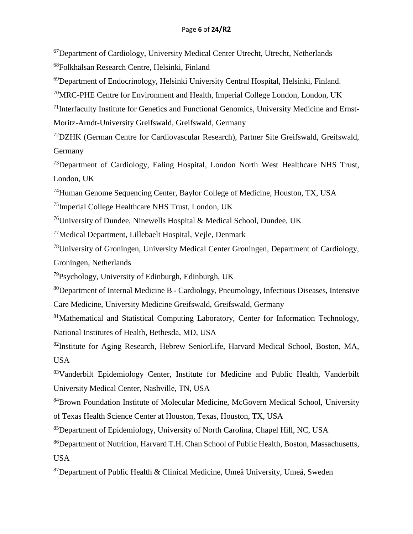<sup>67</sup>Department of Cardiology, University Medical Center Utrecht, Utrecht, Netherlands <sup>68</sup>Folkhälsan Research Centre, Helsinki, Finland

<sup>69</sup>Department of Endocrinology, Helsinki University Central Hospital, Helsinki, Finland.

 $70$ MRC-PHE Centre for Environment and Health, Imperial College London, London, UK

 $71$ Interfaculty Institute for Genetics and Functional Genomics, University Medicine and Ernst-Moritz-Arndt-University Greifswald, Greifswald, Germany

<sup>72</sup>DZHK (German Centre for Cardiovascular Research), Partner Site Greifswald, Greifswald, Germany

<sup>73</sup>Department of Cardiology, Ealing Hospital, London North West Healthcare NHS Trust, London, UK

<sup>74</sup>Human Genome Sequencing Center, Baylor College of Medicine, Houston, TX, USA

75 Imperial College Healthcare NHS Trust, London, UK

<sup>76</sup>University of Dundee, Ninewells Hospital & Medical School, Dundee, UK

<sup>77</sup>Medical Department, Lillebaelt Hospital, Vejle, Denmark

<sup>78</sup>University of Groningen, University Medical Center Groningen, Department of Cardiology, Groningen, Netherlands

<sup>79</sup>Psychology, University of Edinburgh, Edinburgh, UK

<sup>80</sup>Department of Internal Medicine B - Cardiology, Pneumology, Infectious Diseases, Intensive Care Medicine, University Medicine Greifswald, Greifswald, Germany

<sup>81</sup>Mathematical and Statistical Computing Laboratory, Center for Information Technology, National Institutes of Health, Bethesda, MD, USA

<sup>82</sup>Institute for Aging Research, Hebrew SeniorLife, Harvard Medical School, Boston, MA, USA

83Vanderbilt Epidemiology Center, Institute for Medicine and Public Health, Vanderbilt University Medical Center, Nashville, TN, USA

<sup>84</sup>Brown Foundation Institute of Molecular Medicine, McGovern Medical School, University of Texas Health Science Center at Houston, Texas, Houston, TX, USA

<sup>85</sup>Department of Epidemiology, University of North Carolina, Chapel Hill, NC, USA

<sup>86</sup>Department of Nutrition, Harvard T.H. Chan School of Public Health, Boston, Massachusetts, USA

 $87$ Department of Public Health & Clinical Medicine, Umeå University, Umeå, Sweden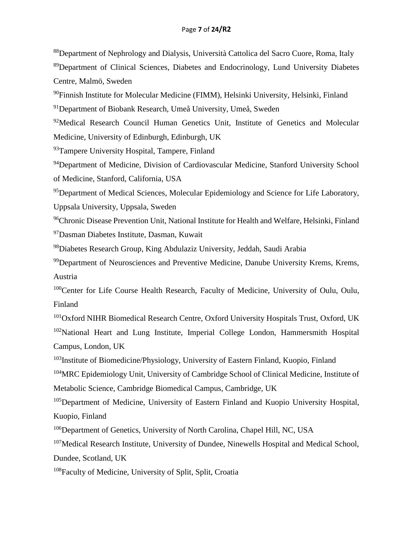<sup>88</sup>Department of Nephrology and Dialysis, Università Cattolica del Sacro Cuore, Roma, Italy <sup>89</sup>Department of Clinical Sciences, Diabetes and Endocrinology, Lund University Diabetes Centre, Malmö, Sweden

<sup>90</sup>Finnish Institute for Molecular Medicine (FIMM), Helsinki University, Helsinki, Finland

<sup>91</sup>Department of Biobank Research, Umeå University, Umeå, Sweden

<sup>92</sup>Medical Research Council Human Genetics Unit, Institute of Genetics and Molecular Medicine, University of Edinburgh, Edinburgh, UK

<sup>93</sup>Tampere University Hospital, Tampere, Finland

<sup>94</sup>Department of Medicine, Division of Cardiovascular Medicine, Stanford University School of Medicine, Stanford, California, USA

<sup>95</sup>Department of Medical Sciences, Molecular Epidemiology and Science for Life Laboratory, Uppsala University, Uppsala, Sweden

<sup>96</sup>Chronic Disease Prevention Unit, National Institute for Health and Welfare, Helsinki, Finland <sup>97</sup>Dasman Diabetes Institute, Dasman, Kuwait

<sup>98</sup>Diabetes Research Group, King Abdulaziz University, Jeddah, Saudi Arabia

<sup>99</sup>Department of Neurosciences and Preventive Medicine, Danube University Krems, Krems, Austria

<sup>100</sup>Center for Life Course Health Research, Faculty of Medicine, University of Oulu, Oulu, Finland

<sup>101</sup>Oxford NIHR Biomedical Research Centre, Oxford University Hospitals Trust, Oxford, UK <sup>102</sup>National Heart and Lung Institute, Imperial College London, Hammersmith Hospital Campus, London, UK

<sup>103</sup>Institute of Biomedicine/Physiology, University of Eastern Finland, Kuopio, Finland

<sup>104</sup>MRC Epidemiology Unit, University of Cambridge School of Clinical Medicine, Institute of Metabolic Science, Cambridge Biomedical Campus, Cambridge, UK

<sup>105</sup>Department of Medicine, University of Eastern Finland and Kuopio University Hospital, Kuopio, Finland

<sup>106</sup>Department of Genetics, University of North Carolina, Chapel Hill, NC, USA

<sup>107</sup>Medical Research Institute, University of Dundee, Ninewells Hospital and Medical School, Dundee, Scotland, UK

<sup>108</sup>Faculty of Medicine, University of Split, Split, Croatia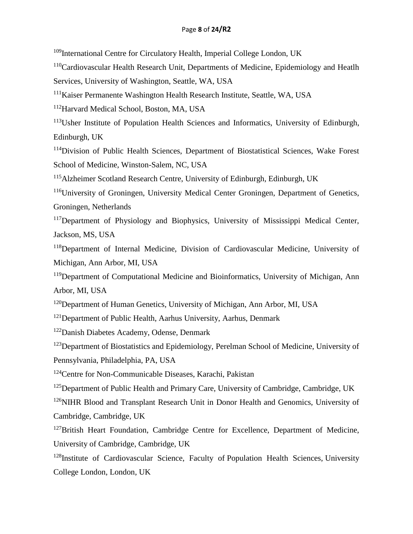<sup>109</sup>International Centre for Circulatory Health, Imperial College London, UK

<sup>110</sup>Cardiovascular Health Research Unit, Departments of Medicine, Epidemiology and Heatlh Services, University of Washington, Seattle, WA, USA

<sup>111</sup>Kaiser Permanente Washington Health Research Institute, Seattle, WA, USA

<sup>112</sup>Harvard Medical School, Boston, MA, USA

<sup>113</sup>Usher Institute of Population Health Sciences and Informatics, University of Edinburgh, Edinburgh, UK

<sup>114</sup>Division of Public Health Sciences, Department of Biostatistical Sciences, Wake Forest School of Medicine, Winston-Salem, NC, USA

<sup>115</sup>Alzheimer Scotland Research Centre, University of Edinburgh, Edinburgh, UK

<sup>116</sup>University of Groningen, University Medical Center Groningen, Department of Genetics, Groningen, Netherlands

<sup>117</sup>Department of Physiology and Biophysics, University of Mississippi Medical Center, Jackson, MS, USA

<sup>118</sup>Department of Internal Medicine, Division of Cardiovascular Medicine, University of Michigan, Ann Arbor, MI, USA

<sup>119</sup>Department of Computational Medicine and Bioinformatics, University of Michigan, Ann Arbor, MI, USA

<sup>120</sup>Department of Human Genetics, University of Michigan, Ann Arbor, MI, USA

<sup>121</sup>Department of Public Health, Aarhus University, Aarhus, Denmark

<sup>122</sup>Danish Diabetes Academy, Odense, Denmark

<sup>123</sup>Department of Biostatistics and Epidemiology, Perelman School of Medicine, University of Pennsylvania, Philadelphia, PA, USA

<sup>124</sup>Centre for Non-Communicable Diseases, Karachi, Pakistan

 $125$ Department of Public Health and Primary Care, University of Cambridge, Cambridge, UK

<sup>126</sup>NIHR Blood and Transplant Research Unit in Donor Health and Genomics, University of Cambridge, Cambridge, UK

 $127$ British Heart Foundation, Cambridge Centre for Excellence, Department of Medicine, University of Cambridge, Cambridge, UK

<sup>128</sup>Institute of Cardiovascular Science, Faculty of Population Health Sciences, University College London, London, UK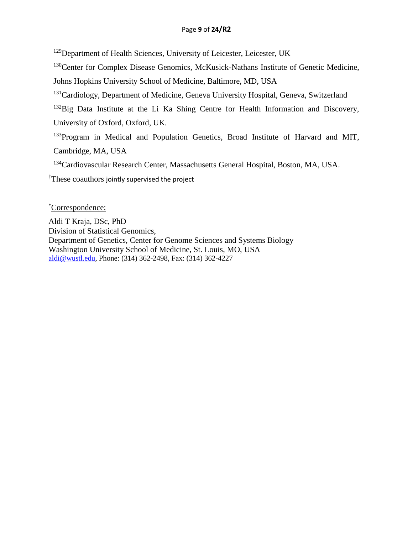<sup>129</sup>Department of Health Sciences, University of Leicester, Leicester, UK

<sup>130</sup>Center for Complex Disease Genomics, McKusick-Nathans Institute of Genetic Medicine,

Johns Hopkins University School of Medicine, Baltimore, MD, USA

<sup>131</sup>Cardiology, Department of Medicine, Geneva University Hospital, Geneva, Switzerland

<sup>132</sup>Big Data Institute at the Li Ka Shing Centre for Health Information and Discovery, University of Oxford, Oxford, UK.

<sup>133</sup>Program in Medical and Population Genetics, Broad Institute of Harvard and MIT, Cambridge, MA, USA

<sup>134</sup>Cardiovascular Research Center, Massachusetts General Hospital, Boston, MA, USA.

†These coauthors jointly supervised the project

\*Correspondence:

Aldi T Kraja, DSc, PhD Division of Statistical Genomics, Department of Genetics, Center for Genome Sciences and Systems Biology Washington University School of Medicine, St. Louis, MO, USA [aldi@wustl.edu,](mailto:aldi@wustl.edu) Phone: (314) 362-2498, Fax: (314) 362-4227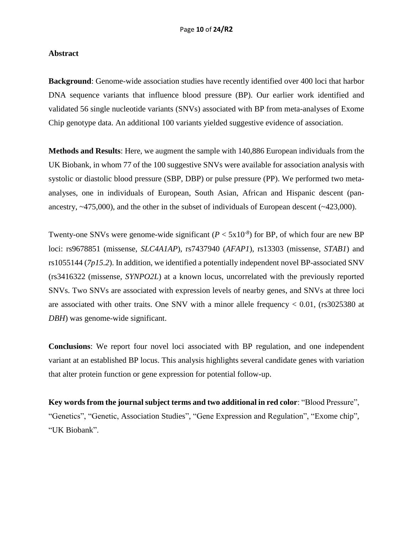## **Abstract**

**Background**: Genome-wide association studies have recently identified over 400 loci that harbor DNA sequence variants that influence blood pressure (BP). Our earlier work identified and validated 56 single nucleotide variants (SNVs) associated with BP from meta-analyses of Exome Chip genotype data. An additional 100 variants yielded suggestive evidence of association.

**Methods and Results**: Here, we augment the sample with 140,886 European individuals from the UK Biobank, in whom 77 of the 100 suggestive SNVs were available for association analysis with systolic or diastolic blood pressure (SBP, DBP) or pulse pressure (PP). We performed two metaanalyses, one in individuals of European, South Asian, African and Hispanic descent (panancestry, ~475,000), and the other in the subset of individuals of European descent (~423,000).

Twenty-one SNVs were genome-wide significant  $(P < 5x10^{-8})$  for BP, of which four are new BP loci: rs9678851 (missense, *SLC4A1AP*), rs7437940 (*AFAP1*), rs13303 (missense, *STAB1*) and rs1055144 (*7p15.2*). In addition, we identified a potentially independent novel BP-associated SNV (rs3416322 (missense, *SYNPO2L*) at a known locus, uncorrelated with the previously reported SNVs. Two SNVs are associated with expression levels of nearby genes, and SNVs at three loci are associated with other traits. One SNV with a minor allele frequency  $< 0.01$ , (rs3025380 at *DBH*) was genome-wide significant.

**Conclusions**: We report four novel loci associated with BP regulation, and one independent variant at an established BP locus. This analysis highlights several candidate genes with variation that alter protein function or gene expression for potential follow-up.

**Key words from the journal subject terms and two additional in red color**: "Blood Pressure", "Genetics", "Genetic, Association Studies", "Gene Expression and Regulation", "Exome chip", "UK Biobank".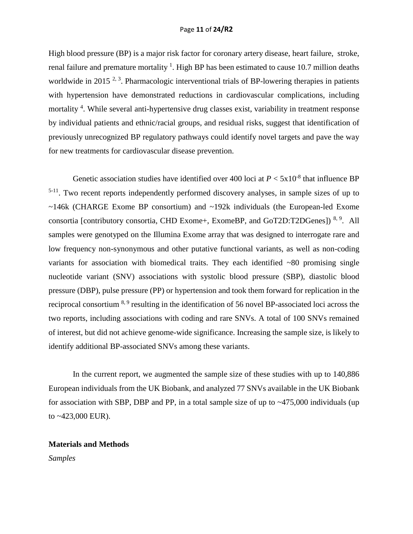High blood pressure (BP) is a major risk factor for coronary artery disease, heart failure, stroke, renal failure and premature mortality  $<sup>1</sup>$ . High BP has been estimated to cause 10.7 million deaths</sup> worldwide in 2015<sup>2, 3</sup>. Pharmacologic interventional trials of BP-lowering therapies in patients with hypertension have demonstrated reductions in cardiovascular complications, including mortality<sup>4</sup>. While several anti-hypertensive drug classes exist, variability in treatment response by individual patients and ethnic/racial groups, and residual risks, suggest that identification of previously unrecognized BP regulatory pathways could identify novel targets and pave the way for new treatments for cardiovascular disease prevention.

Genetic association studies have identified over 400 loci at  $P < 5x10^{-8}$  that influence BP <sup>5-11</sup>. Two recent reports independently performed discovery analyses, in sample sizes of up to ~146k (CHARGE Exome BP consortium) and ~192k individuals (the European-led Exome consortia [contributory consortia, CHD Exome+, ExomeBP, and GoT2D:T2DGenes])<sup>8, 9</sup>. All samples were genotyped on the Illumina Exome array that was designed to interrogate rare and low frequency non-synonymous and other putative functional variants, as well as non-coding variants for association with biomedical traits. They each identified  $\sim 80$  promising single nucleotide variant (SNV) associations with systolic blood pressure (SBP), diastolic blood pressure (DBP), pulse pressure (PP) or hypertension and took them forward for replication in the reciprocal consortium <sup>8, 9</sup> resulting in the identification of 56 novel BP-associated loci across the two reports, including associations with coding and rare SNVs. A total of 100 SNVs remained of interest, but did not achieve genome-wide significance. Increasing the sample size, is likely to identify additional BP-associated SNVs among these variants.

In the current report, we augmented the sample size of these studies with up to 140,886 European individuals from the UK Biobank, and analyzed 77 SNVs available in the UK Biobank for association with SBP, DBP and PP, in a total sample size of up to ~475,000 individuals (up to ~423,000 EUR).

# **Materials and Methods**

*Samples*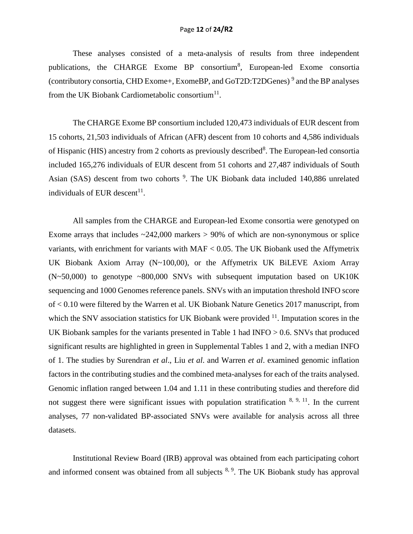These analyses consisted of a meta-analysis of results from three independent publications, the CHARGE Exome BP consortium<sup>8</sup>, European-led Exome consortia (contributory consortia, CHD Exome+, ExomeBP, and GoT2D:T2DGenes)<sup>9</sup> and the BP analyses from the UK Biobank Cardiometabolic consortium $^{11}$ .

The CHARGE Exome BP consortium included 120,473 individuals of EUR descent from 15 cohorts, 21,503 individuals of African (AFR) descent from 10 cohorts and 4,586 individuals of Hispanic (HIS) ancestry from 2 cohorts as previously described<sup>8</sup>. The European-led consortia included 165,276 individuals of EUR descent from 51 cohorts and 27,487 individuals of South Asian (SAS) descent from two cohorts <sup>9</sup>. The UK Biobank data included 140,886 unrelated individuals of EUR descent $11$ .

All samples from the CHARGE and European-led Exome consortia were genotyped on Exome arrays that includes  $\sim$  242,000 markers  $>$  90% of which are non-synonymous or splice variants, with enrichment for variants with MAF < 0.05. The UK Biobank used the Affymetrix UK Biobank Axiom Array (N~100,00), or the Affymetrix UK BiLEVE Axiom Array (N~50,000) to genotype ~800,000 SNVs with subsequent imputation based on UK10K sequencing and 1000 Genomes reference panels. SNVs with an imputation threshold INFO score of < 0.10 were filtered by the Warren et al. UK Biobank Nature Genetics 2017 manuscript, from which the SNV association statistics for UK Biobank were provided  $<sup>11</sup>$ . Imputation scores in the</sup> UK Biobank samples for the variants presented in Table 1 had INFO > 0.6. SNVs that produced significant results are highlighted in green in Supplemental Tables 1 and 2, with a median INFO of 1. The studies by Surendran *et al*., Liu *et al*. and Warren *et al*. examined genomic inflation factors in the contributing studies and the combined meta-analyses for each of the traits analysed. Genomic inflation ranged between 1.04 and 1.11 in these contributing studies and therefore did not suggest there were significant issues with population stratification  $8, 9, 11$ . In the current analyses, 77 non-validated BP-associated SNVs were available for analysis across all three datasets.

Institutional Review Board (IRB) approval was obtained from each participating cohort and informed consent was obtained from all subjects  $8, 9$ . The UK Biobank study has approval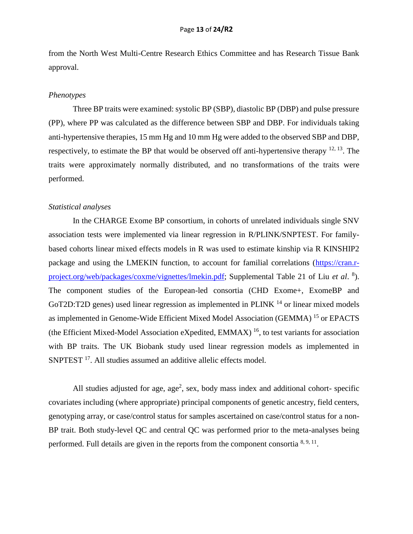from the North West Multi-Centre Research Ethics Committee and has Research Tissue Bank approval.

#### *Phenotypes*

Three BP traits were examined: systolic BP (SBP), diastolic BP (DBP) and pulse pressure (PP), where PP was calculated as the difference between SBP and DBP. For individuals taking anti-hypertensive therapies, 15 mm Hg and 10 mm Hg were added to the observed SBP and DBP, respectively, to estimate the BP that would be observed off anti-hypertensive therapy  $^{12, 13}$ . The traits were approximately normally distributed, and no transformations of the traits were performed.

#### *Statistical analyses*

In the CHARGE Exome BP consortium, in cohorts of unrelated individuals single SNV association tests were implemented via linear regression in R/PLINK/SNPTEST. For familybased cohorts linear mixed effects models in R was used to estimate kinship via R KINSHIP2 package and using the LMEKIN function, to account for familial correlations [\(https://cran.r](https://cran.r-project.org/web/packages/coxme/vignettes/lmekin.pdf)[project.org/web/packages/coxme/vignettes/lmekin.pdf;](https://cran.r-project.org/web/packages/coxme/vignettes/lmekin.pdf) Supplemental Table 21 of Liu *et al*. 8 ). The component studies of the European-led consortia (CHD Exome+, ExomeBP and GoT2D:T2D genes) used linear regression as implemented in PLINK <sup>14</sup> or linear mixed models as implemented in Genome-Wide Efficient Mixed Model Association (GEMMA) <sup>15</sup> or EPACTS (the Efficient Mixed-Model Association eXpedited, EMMAX)<sup>16</sup>, to test variants for association with BP traits. The UK Biobank study used linear regression models as implemented in SNPTEST<sup>17</sup>. All studies assumed an additive allelic effects model.

All studies adjusted for age,  $age^2$ , sex, body mass index and additional cohort-specific covariates including (where appropriate) principal components of genetic ancestry, field centers, genotyping array, or case/control status for samples ascertained on case/control status for a non-BP trait. Both study-level QC and central QC was performed prior to the meta-analyses being performed. Full details are given in the reports from the component consortia  $8,9,11$ .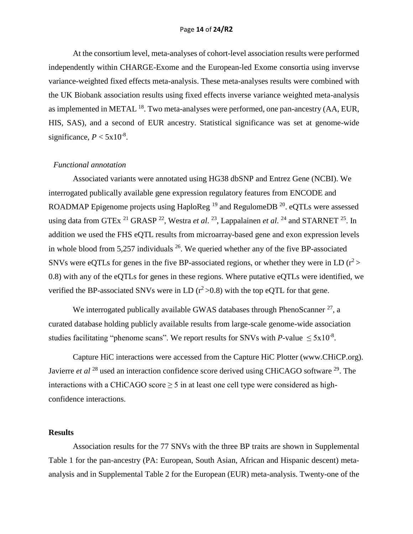#### Page **14** of **24/R2**

At the consortium level, meta-analyses of cohort-level association results were performed independently within CHARGE-Exome and the European-led Exome consortia using invervse variance-weighted fixed effects meta-analysis. These meta-analyses results were combined with the UK Biobank association results using fixed effects inverse variance weighted meta-analysis as implemented in METAL <sup>18</sup>. Two meta-analyses were performed, one pan-ancestry (AA, EUR, HIS, SAS), and a second of EUR ancestry. Statistical significance was set at genome-wide significance,  $P < 5x10^{-8}$ .

#### *Functional annotation*

Associated variants were annotated using HG38 dbSNP and Entrez Gene (NCBI). We interrogated publically available gene expression regulatory features from ENCODE and ROADMAP Epigenome projects using HaploReg<sup>19</sup> and RegulomeDB<sup>20</sup>. eQTLs were assessed using data from GTEx<sup>21</sup> GRASP<sup>22</sup>, Westra *et al.* <sup>23</sup>, Lappalainen *et al.* <sup>24</sup> and STARNET<sup>25</sup>. In addition we used the FHS eQTL results from microarray-based gene and exon expression levels in whole blood from  $5,257$  individuals  $^{26}$ . We queried whether any of the five BP-associated SNVs were eQTLs for genes in the five BP-associated regions, or whether they were in LD  $(r^2$ 0.8) with any of the eQTLs for genes in these regions. Where putative eQTLs were identified, we verified the BP-associated SNVs were in LD  $(r^2 > 0.8)$  with the top eQTL for that gene.

We interrogated publically available GWAS databases through PhenoScanner  $^{27}$ , a curated database holding publicly available results from large-scale genome-wide association studies facilitating "phenome scans". We report results for SNVs with *P*-value  $\leq 5x10^{-8}$ .

Capture HiC interactions were accessed from the Capture HiC Plotter (www.CHiCP.org). Javierre *et al* <sup>28</sup> used an interaction confidence score derived using CHiCAGO software <sup>29</sup>. The interactions with a CHiCAGO score  $\geq$  5 in at least one cell type were considered as highconfidence interactions.

#### **Results**

Association results for the 77 SNVs with the three BP traits are shown in Supplemental Table 1 for the pan-ancestry (PA: European, South Asian, African and Hispanic descent) metaanalysis and in Supplemental Table 2 for the European (EUR) meta-analysis. Twenty-one of the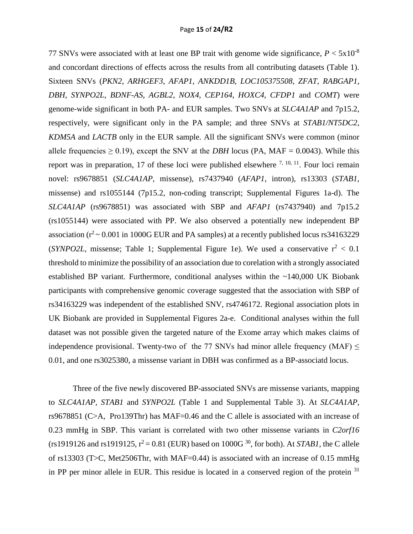77 SNVs were associated with at least one BP trait with genome wide significance,  $P < 5x10^{-8}$ and concordant directions of effects across the results from all contributing datasets (Table 1). Sixteen SNVs (*PKN2*, *ARHGEF3*, *AFAP1*, *ANKDD1B*, *LOC105375508*, *ZFAT*, *RABGAP1*, *DBH*, *SYNPO2L*, *BDNF-AS*, *AGBL2*, *NOX4*, *CEP164*, *HOXC4*, *CFDP1* and *COMT*) were genome-wide significant in both PA- and EUR samples. Two SNVs at *SLC4A1AP* and 7p15.2, respectively, were significant only in the PA sample; and three SNVs at *STAB1/NT5DC2*, *KDM5A* and *LACTB* only in the EUR sample. All the significant SNVs were common (minor allele frequencies  $\geq 0.19$ ), except the SNV at the *DBH* locus (PA, MAF = 0.0043). While this report was in preparation, 17 of these loci were published elsewhere  $^{7, 10, 11}$ . Four loci remain novel: rs9678851 (*SLC4A1AP*, missense), rs7437940 (*AFAP1*, intron), rs13303 (*STAB1*, missense) and rs1055144 (7p15.2, non-coding transcript; Supplemental Figures 1a-d). The *SLC4A1AP* (rs9678851) was associated with SBP and *AFAP1* (rs7437940) and 7p15.2 (rs1055144) were associated with PP. We also observed a potentially new independent BP association ( $r^2 \sim 0.001$  in 1000G EUR and PA samples) at a recently published locus rs34163229 (*SYNPO2L*, missense; Table 1; Supplemental Figure 1e). We used a conservative  $r^2 < 0.1$ threshold to minimize the possibility of an association due to corelation with a strongly associated established BP variant. Furthermore, conditional analyses within the ~140,000 UK Biobank participants with comprehensive genomic coverage suggested that the association with SBP of rs34163229 was independent of the established SNV, rs4746172. Regional association plots in UK Biobank are provided in Supplemental Figures 2a-e. Conditional analyses within the full dataset was not possible given the targeted nature of the Exome array which makes claims of independence provisional. Twenty-two of the 77 SNVs had minor allele frequency (MAF)  $\leq$ 0.01, and one rs3025380, a missense variant in DBH was confirmed as a BP-associatd locus.

Three of the five newly discovered BP-associated SNVs are missense variants, mapping to *SLC4A1AP, STAB1* and *SYNPO2L* (Table 1 and Supplemental Table 3). At *SLC4A1AP*, rs9678851 (C>A, Pro139Thr) has MAF=0.46 and the C allele is associated with an increase of 0.23 mmHg in SBP. This variant is correlated with two other missense variants in *C2orf16*  $(rs1919126$  and  $rs1919125$ ,  $r^2 = 0.81$  (EUR) based on 1000G <sup>30</sup>, for both). At *STAB1*, the C allele of rs13303 (T>C, Met2506Thr, with MAF=0.44) is associated with an increase of 0.15 mmHg in PP per minor allele in EUR. This residue is located in a conserved region of the protein  $31$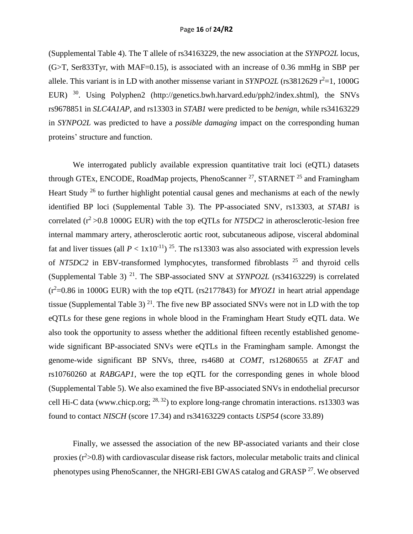(Supplemental Table 4). The T allele of rs34163229, the new association at the *SYNPO2L* locus,  $(G>T, Ser833Tyr, with MAF=0.15)$ , is associated with an increase of 0.36 mmHg in SBP per allele. This variant is in LD with another missense variant in *SYNPO2L* (rs3812629 r<sup>2</sup>=1, 1000G EUR)  $^{30}$ . Using Polyphen2 (http://genetics.bwh.harvard.edu/pph2/index.shtml), the SNVs rs9678851 in *SLC4A1AP*, and rs13303 in *STAB1* were predicted to be *benign*, while rs34163229 in *SYNPO2L* was predicted to have a *possible damaging* impact on the corresponding human proteins' structure and function.

We interrogated publicly available expression quantitative trait loci (eQTL) datasets through GTEx, ENCODE, RoadMap projects, PhenoScanner<sup>27</sup>, STARNET<sup>25</sup> and Framingham Heart Study  $^{26}$  to further highlight potential causal genes and mechanisms at each of the newly identified BP loci (Supplemental Table 3). The PP-associated SNV, rs13303, at *STAB1* is correlated  $(r^2 > 0.8 \ 1000G$  EUR) with the top eQTLs for *NT5DC2* in atherosclerotic-lesion free internal mammary artery, atherosclerotic aortic root, subcutaneous adipose, visceral abdominal fat and liver tissues (all  $P < 1x10^{-11}$ ) <sup>25</sup>. The rs13303 was also associated with expression levels of *NT5DC2* in EBV-transformed lymphocytes, transformed fibroblasts <sup>25</sup> and thyroid cells (Supplemental Table 3)<sup>21</sup>. The SBP-associated SNV at *SYNPO2L* (rs34163229) is correlated  $(r^2=0.86$  in 1000G EUR) with the top eQTL (rs2177843) for *MYOZ1* in heart atrial appendage tissue (Supplemental Table 3)<sup>21</sup>. The five new BP associated SNVs were not in LD with the top eQTLs for these gene regions in whole blood in the Framingham Heart Study eQTL data. We also took the opportunity to assess whether the additional fifteen recently established genomewide significant BP-associated SNVs were eQTLs in the Framingham sample. Amongst the genome-wide significant BP SNVs, three, rs4680 at *COMT*, rs12680655 at *ZFAT* and rs10760260 at *RABGAP1*, were the top eQTL for the corresponding genes in whole blood (Supplemental Table 5). We also examined the five BP-associated SNVs in endothelial precursor cell Hi-C data (www.chicp.org;  $^{28, 32}$ ) to explore long-range chromatin interactions. rs13303 was found to contact *NISCH* (score 17.34) and rs34163229 contacts *USP54* (score 33.89)

Finally, we assessed the association of the new BP-associated variants and their close proxies  $(r^2>0.8)$  with cardiovascular disease risk factors, molecular metabolic traits and clinical phenotypes using PhenoScanner, the NHGRI-EBI GWAS catalog and GRASP <sup>27</sup>. We observed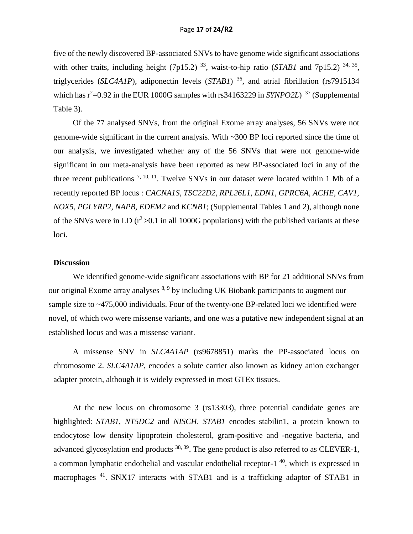five of the newly discovered BP-associated SNVs to have genome wide significant associations with other traits, including height (7p15.2)  $^{33}$ , waist-to-hip ratio (*STAB1* and 7p15.2)  $^{34, 35}$ , triglycerides (*SLC4A1P*), adiponectin levels (*STAB1*) <sup>36</sup> , and atrial fibrillation (rs7915134 which has  $r^2$ =0.92 in the EUR 1000G samples with rs34163229 in *SYNPO2L*)<sup>37</sup> (Supplemental Table 3).

Of the 77 analysed SNVs, from the original Exome array analyses, 56 SNVs were not genome-wide significant in the current analysis. With ~300 BP loci reported since the time of our analysis, we investigated whether any of the 56 SNVs that were not genome-wide significant in our meta-analysis have been reported as new BP-associated loci in any of the three recent publications  $^{7, 10, 11}$ . Twelve SNVs in our dataset were located within 1 Mb of a recently reported BP locus : *CACNA1S, TSC22D2, RPL26L1, EDN1, GPRC6A, ACHE, CAV1, NOX5, PGLYRP2, NAPB, EDEM2* and *KCNB1*; (Supplemental Tables 1 and 2), although none of the SNVs were in LD  $(r^2 > 0.1$  in all 1000G populations) with the published variants at these loci.

## **Discussion**

We identified genome-wide significant associations with BP for 21 additional SNVs from our original Exome array analyses  $8.9$  by including UK Biobank participants to augment our sample size to ~475,000 individuals. Four of the twenty-one BP-related loci we identified were novel, of which two were missense variants, and one was a putative new independent signal at an established locus and was a missense variant.

A missense SNV in *SLC4A1AP* (rs9678851) marks the PP-associated locus on chromosome 2. *SLC4A1AP*, encodes a solute carrier also known as kidney anion exchanger adapter protein, although it is widely expressed in most GTEx tissues.

At the new locus on chromosome 3 (rs13303), three potential candidate genes are highlighted: *STAB1*, *NT5DC2* and *NISCH*. *STAB1* encodes stabilin1, a protein known to endocytose low density lipoprotein cholesterol, gram-positive and -negative bacteria, and advanced glycosylation end products  $^{38, 39}$ . The gene product is also referred to as CLEVER-1, a common lymphatic endothelial and vascular endothelial receptor-1<sup>40</sup>, which is expressed in macrophages <sup>41</sup>. SNX17 interacts with STAB1 and is a trafficking adaptor of STAB1 in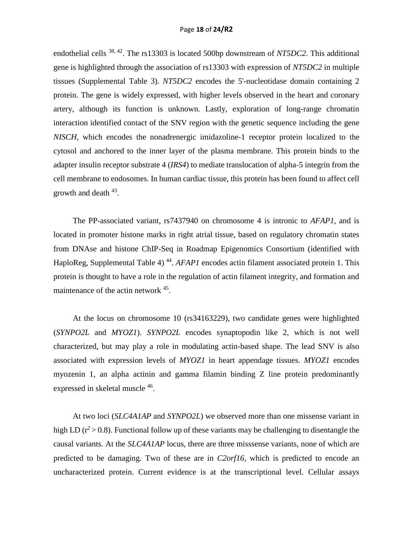endothelial cells <sup>38, 42</sup>. The rs13303 is located 500bp downstream of *NT5DC2*. This additional gene is highlighted through the association of rs13303 with expression of *NT5DC2* in multiple tissues (Supplemental Table 3). *NT5DC2* encodes the 5'-nucleotidase domain containing 2 protein. The gene is widely expressed, with higher levels observed in the heart and coronary artery, although its function is unknown. Lastly, exploration of long-range chromatin interaction identified contact of the SNV region with the genetic sequence including the gene *NISCH,* which encodes the nonadrenergic imidazoline-1 receptor protein localized to the cytosol and anchored to the inner layer of the plasma membrane. This protein binds to the adapter insulin receptor substrate 4 (*IRS4*) to mediate translocation of alpha-5 integrin from the cell membrane to endosomes. In human cardiac tissue, this protein has been found to affect cell growth and death <sup>43</sup>.

The PP-associated variant, rs7437940 on chromosome 4 is intronic to *AFAP1*, and is located in promoter histone marks in right atrial tissue, based on regulatory chromatin states from DNAse and histone ChIP-Seq in Roadmap Epigenomics Consortium (identified with HaploReg, Supplemental Table 4)<sup>44</sup>. *AFAP1* encodes actin filament associated protein 1. This protein is thought to have a role in the regulation of actin filament integrity, and formation and maintenance of the actin network <sup>45</sup>.

At the locus on chromosome 10 (rs34163229), two candidate genes were highlighted (*SYNPO2L* and *MYOZ1*). *SYNPO2L* encodes synaptopodin like 2, which is not well characterized, but may play a role in modulating actin-based shape. The lead SNV is also associated with expression levels of *MYOZ1* in heart appendage tissues. *MYOZ1* encodes myozenin 1, an alpha actinin and gamma filamin binding Z line protein predominantly expressed in skeletal muscle <sup>46</sup>.

At two loci (*SLC4A1AP* and *SYNPO2L*) we observed more than one missense variant in high LD ( $r^2 > 0.8$ ). Functional follow up of these variants may be challenging to disentangle the causal variants. At the *SLC4A1AP* locus, there are three misssense variants, none of which are predicted to be damaging. Two of these are in *C2orf16,* which is predicted to encode an uncharacterized protein. Current evidence is at the transcriptional level. Cellular assays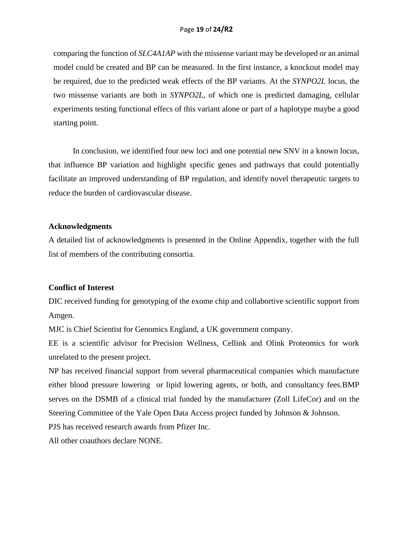#### Page **19** of **24/R2**

comparing the function of *SLC4A1AP* with the missense variant may be developed or an animal model could be created and BP can be measured. In the first instance, a knockout model may be required, due to the predicted weak effects of the BP variants. At the *SYNPO2L* locus, the two missense variants are both in *SYNPO2L*, of which one is predicted damaging, cellular experiments testing functional effecs of this variant alone or part of a haplotype maybe a good starting point.

In conclusion, we identified four new loci and one potential new SNV in a known locus, that influence BP variation and highlight specific genes and pathways that could potentially facilitate an improved understanding of BP regulation, and identify novel therapeutic targets to reduce the burden of cardiovascular disease.

#### **Acknowledgments**

A detailed list of acknowledgments is presented in the Online Appendix, together with the full list of members of the contributing consortia.

#### **Conflict of Interest**

DIC received funding for genotyping of the exome chip and collabortive scientific support from Amgen.

MJC is Chief Scientist for Genomics England, a UK government company.

EE is a scientific advisor for Precision Wellness, Cellink and Olink Proteomics for work unrelated to the present project.

NP has received financial support from several pharmaceutical companies which manufacture either blood pressure lowering or lipid lowering agents, or both, and consultancy fees.BMP serves on the DSMB of a clinical trial funded by the manufacturer (Zoll LifeCor) and on the Steering Committee of the Yale Open Data Access project funded by Johnson & Johnson.

PJS has received research awards from Pfizer Inc.

All other coauthors declare NONE.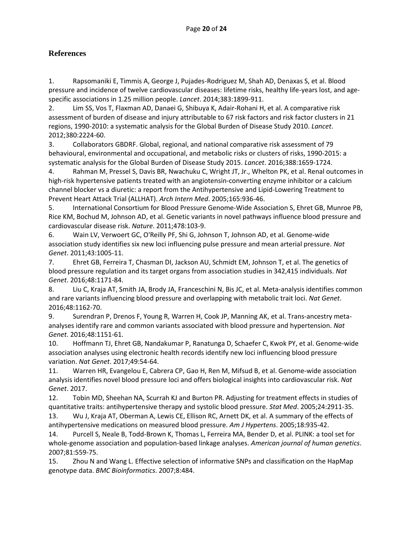# **References**

1. Rapsomaniki E, Timmis A, George J, Pujades-Rodriguez M, Shah AD, Denaxas S, et al. Blood pressure and incidence of twelve cardiovascular diseases: lifetime risks, healthy life-years lost, and agespecific associations in 1.25 million people. *Lancet*. 2014;383:1899-911.

2. Lim SS, Vos T, Flaxman AD, Danaei G, Shibuya K, Adair-Rohani H, et al. A comparative risk assessment of burden of disease and injury attributable to 67 risk factors and risk factor clusters in 21 regions, 1990-2010: a systematic analysis for the Global Burden of Disease Study 2010. *Lancet*. 2012;380:2224-60.

3. Collaborators GBDRF. Global, regional, and national comparative risk assessment of 79 behavioural, environmental and occupational, and metabolic risks or clusters of risks, 1990-2015: a systematic analysis for the Global Burden of Disease Study 2015. *Lancet*. 2016;388:1659-1724.

4. Rahman M, Pressel S, Davis BR, Nwachuku C, Wright JT, Jr., Whelton PK, et al. Renal outcomes in high-risk hypertensive patients treated with an angiotensin-converting enzyme inhibitor or a calcium channel blocker vs a diuretic: a report from the Antihypertensive and Lipid-Lowering Treatment to Prevent Heart Attack Trial (ALLHAT). *Arch Intern Med*. 2005;165:936-46.

5. International Consortium for Blood Pressure Genome-Wide Association S, Ehret GB, Munroe PB, Rice KM, Bochud M, Johnson AD, et al. Genetic variants in novel pathways influence blood pressure and cardiovascular disease risk. *Nature*. 2011;478:103-9.

6. Wain LV, Verwoert GC, O'Reilly PF, Shi G, Johnson T, Johnson AD, et al. Genome-wide association study identifies six new loci influencing pulse pressure and mean arterial pressure. *Nat Genet*. 2011;43:1005-11.

7. Ehret GB, Ferreira T, Chasman DI, Jackson AU, Schmidt EM, Johnson T, et al. The genetics of blood pressure regulation and its target organs from association studies in 342,415 individuals. *Nat Genet*. 2016;48:1171-84.

8. Liu C, Kraja AT, Smith JA, Brody JA, Franceschini N, Bis JC, et al. Meta-analysis identifies common and rare variants influencing blood pressure and overlapping with metabolic trait loci. *Nat Genet*. 2016;48:1162-70.

9. Surendran P, Drenos F, Young R, Warren H, Cook JP, Manning AK, et al. Trans-ancestry metaanalyses identify rare and common variants associated with blood pressure and hypertension. *Nat Genet*. 2016;48:1151-61.

10. Hoffmann TJ, Ehret GB, Nandakumar P, Ranatunga D, Schaefer C, Kwok PY, et al. Genome-wide association analyses using electronic health records identify new loci influencing blood pressure variation. *Nat Genet*. 2017;49:54-64.

11. Warren HR, Evangelou E, Cabrera CP, Gao H, Ren M, Mifsud B, et al. Genome-wide association analysis identifies novel blood pressure loci and offers biological insights into cardiovascular risk. *Nat Genet*. 2017.

12. Tobin MD, Sheehan NA, Scurrah KJ and Burton PR. Adjusting for treatment effects in studies of quantitative traits: antihypertensive therapy and systolic blood pressure. *Stat Med*. 2005;24:2911-35.

13. Wu J, Kraja AT, Oberman A, Lewis CE, Ellison RC, Arnett DK, et al. A summary of the effects of antihypertensive medications on measured blood pressure. *Am J Hypertens*. 2005;18:935-42.

14. Purcell S, Neale B, Todd-Brown K, Thomas L, Ferreira MA, Bender D, et al. PLINK: a tool set for whole-genome association and population-based linkage analyses. *American journal of human genetics*. 2007;81:559-75.

15. Zhou N and Wang L. Effective selection of informative SNPs and classification on the HapMap genotype data. *BMC Bioinformatics*. 2007;8:484.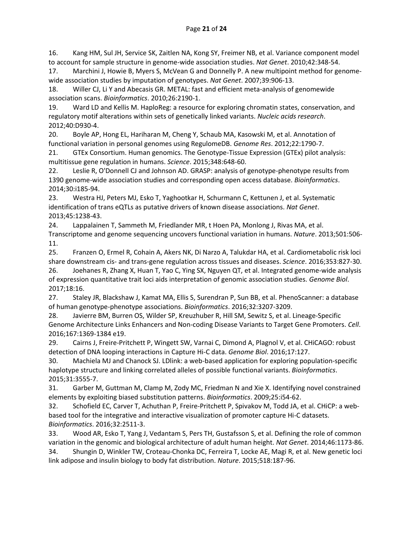16. Kang HM, Sul JH, Service SK, Zaitlen NA, Kong SY, Freimer NB, et al. Variance component model to account for sample structure in genome-wide association studies. *Nat Genet*. 2010;42:348-54.

17. Marchini J, Howie B, Myers S, McVean G and Donnelly P. A new multipoint method for genomewide association studies by imputation of genotypes. *Nat Genet*. 2007;39:906-13.

18. Willer CJ, Li Y and Abecasis GR. METAL: fast and efficient meta-analysis of genomewide association scans. *Bioinformatics*. 2010;26:2190-1.

19. Ward LD and Kellis M. HaploReg: a resource for exploring chromatin states, conservation, and regulatory motif alterations within sets of genetically linked variants. *Nucleic acids research*. 2012;40:D930-4.

20. Boyle AP, Hong EL, Hariharan M, Cheng Y, Schaub MA, Kasowski M, et al. Annotation of functional variation in personal genomes using RegulomeDB. *Genome Res*. 2012;22:1790-7.

21. GTEx Consortium. Human genomics. The Genotype-Tissue Expression (GTEx) pilot analysis: multitissue gene regulation in humans. *Science*. 2015;348:648-60.

22. Leslie R, O'Donnell CJ and Johnson AD. GRASP: analysis of genotype-phenotype results from 1390 genome-wide association studies and corresponding open access database. *Bioinformatics*. 2014;30:i185-94.

23. Westra HJ, Peters MJ, Esko T, Yaghootkar H, Schurmann C, Kettunen J, et al. Systematic identification of trans eQTLs as putative drivers of known disease associations. *Nat Genet*. 2013;45:1238-43.

24. Lappalainen T, Sammeth M, Friedlander MR, t Hoen PA, Monlong J, Rivas MA, et al.

Transcriptome and genome sequencing uncovers functional variation in humans. *Nature*. 2013;501:506- 11.

25. Franzen O, Ermel R, Cohain A, Akers NK, Di Narzo A, Talukdar HA, et al. Cardiometabolic risk loci share downstream cis- and trans-gene regulation across tissues and diseases. *Science*. 2016;353:827-30.

26. Joehanes R, Zhang X, Huan T, Yao C, Ying SX, Nguyen QT, et al. Integrated genome-wide analysis of expression quantitative trait loci aids interpretation of genomic association studies. *Genome Biol*. 2017;18:16.

27. Staley JR, Blackshaw J, Kamat MA, Ellis S, Surendran P, Sun BB, et al. PhenoScanner: a database of human genotype-phenotype associations. *Bioinformatics*. 2016;32:3207-3209.

28. Javierre BM, Burren OS, Wilder SP, Kreuzhuber R, Hill SM, Sewitz S, et al. Lineage-Specific Genome Architecture Links Enhancers and Non-coding Disease Variants to Target Gene Promoters. *Cell*. 2016;167:1369-1384 e19.

29. Cairns J, Freire-Pritchett P, Wingett SW, Varnai C, Dimond A, Plagnol V, et al. CHiCAGO: robust detection of DNA looping interactions in Capture Hi-C data. *Genome Biol*. 2016;17:127.

30. Machiela MJ and Chanock SJ. LDlink: a web-based application for exploring population-specific haplotype structure and linking correlated alleles of possible functional variants. *Bioinformatics*. 2015;31:3555-7.

31. Garber M, Guttman M, Clamp M, Zody MC, Friedman N and Xie X. Identifying novel constrained elements by exploiting biased substitution patterns. *Bioinformatics*. 2009;25:i54-62.

32. Schofield EC, Carver T, Achuthan P, Freire-Pritchett P, Spivakov M, Todd JA, et al. CHiCP: a webbased tool for the integrative and interactive visualization of promoter capture Hi-C datasets. *Bioinformatics*. 2016;32:2511-3.

33. Wood AR, Esko T, Yang J, Vedantam S, Pers TH, Gustafsson S, et al. Defining the role of common variation in the genomic and biological architecture of adult human height. *Nat Genet*. 2014;46:1173-86.

34. Shungin D, Winkler TW, Croteau-Chonka DC, Ferreira T, Locke AE, Magi R, et al. New genetic loci link adipose and insulin biology to body fat distribution. *Nature*. 2015;518:187-96.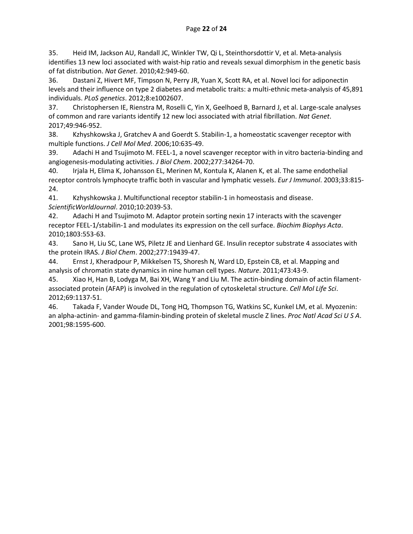35. Heid IM, Jackson AU, Randall JC, Winkler TW, Qi L, Steinthorsdottir V, et al. Meta-analysis identifies 13 new loci associated with waist-hip ratio and reveals sexual dimorphism in the genetic basis of fat distribution. *Nat Genet*. 2010;42:949-60.

36. Dastani Z, Hivert MF, Timpson N, Perry JR, Yuan X, Scott RA, et al. Novel loci for adiponectin levels and their influence on type 2 diabetes and metabolic traits: a multi-ethnic meta-analysis of 45,891 individuals. *PLoS genetics*. 2012;8:e1002607.

37. Christophersen IE, Rienstra M, Roselli C, Yin X, Geelhoed B, Barnard J, et al. Large-scale analyses of common and rare variants identify 12 new loci associated with atrial fibrillation. *Nat Genet*. 2017;49:946-952.

38. Kzhyshkowska J, Gratchev A and Goerdt S. Stabilin-1, a homeostatic scavenger receptor with multiple functions. *J Cell Mol Med*. 2006;10:635-49.

39. Adachi H and Tsujimoto M. FEEL-1, a novel scavenger receptor with in vitro bacteria-binding and angiogenesis-modulating activities. *J Biol Chem*. 2002;277:34264-70.

40. Irjala H, Elima K, Johansson EL, Merinen M, Kontula K, Alanen K, et al. The same endothelial receptor controls lymphocyte traffic both in vascular and lymphatic vessels. *Eur J Immunol*. 2003;33:815- 24.

41. Kzhyshkowska J. Multifunctional receptor stabilin-1 in homeostasis and disease. *ScientificWorldJournal*. 2010;10:2039-53.

42. Adachi H and Tsujimoto M. Adaptor protein sorting nexin 17 interacts with the scavenger receptor FEEL-1/stabilin-1 and modulates its expression on the cell surface. *Biochim Biophys Acta*. 2010;1803:553-63.

43. Sano H, Liu SC, Lane WS, Piletz JE and Lienhard GE. Insulin receptor substrate 4 associates with the protein IRAS. *J Biol Chem*. 2002;277:19439-47.

44. Ernst J, Kheradpour P, Mikkelsen TS, Shoresh N, Ward LD, Epstein CB, et al. Mapping and analysis of chromatin state dynamics in nine human cell types. *Nature*. 2011;473:43-9.

45. Xiao H, Han B, Lodyga M, Bai XH, Wang Y and Liu M. The actin-binding domain of actin filamentassociated protein (AFAP) is involved in the regulation of cytoskeletal structure. *Cell Mol Life Sci*. 2012;69:1137-51.

46. Takada F, Vander Woude DL, Tong HQ, Thompson TG, Watkins SC, Kunkel LM, et al. Myozenin: an alpha-actinin- and gamma-filamin-binding protein of skeletal muscle Z lines. *Proc Natl Acad Sci U S A*. 2001;98:1595-600.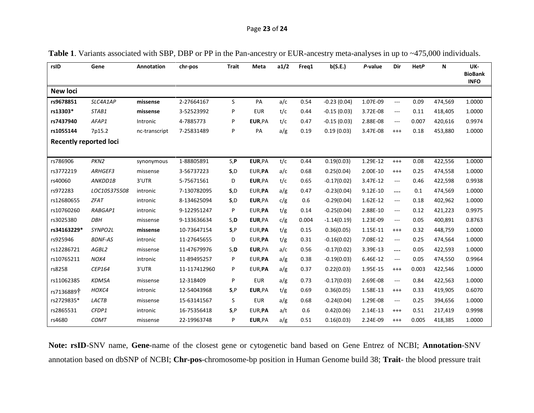| rsID                          | Gene             | Annotation    | chr-pos      | <b>Trait</b> | Meta       | a1/2 | Freq1 | b(S.E.)       | P-value  | Dir           | <b>HetP</b> | N       | UK-                           |
|-------------------------------|------------------|---------------|--------------|--------------|------------|------|-------|---------------|----------|---------------|-------------|---------|-------------------------------|
|                               |                  |               |              |              |            |      |       |               |          |               |             |         | <b>BioBank</b><br><b>INFO</b> |
| New loci                      |                  |               |              |              |            |      |       |               |          |               |             |         |                               |
| rs9678851                     | SLC4A1AP         | missense      | 2-27664167   | S            | PA         | a/c  | 0.54  | $-0.23(0.04)$ | 1.07E-09 | ---           | 0.09        | 474,569 | 1.0000                        |
| rs13303*                      | STAB1            | missense      | 3-52523992   | P            | <b>EUR</b> | t/c  | 0.44  | $-0.15(0.03)$ | 3.72E-08 | ---           | 0.11        | 418,405 | 1.0000                        |
| rs7437940                     | AFAP1            | Intronic      | 4-7885773    | P            | EUR, PA    | t/c  | 0.47  | $-0.15(0.03)$ | 2.88E-08 | $---$         | 0.007       | 420,616 | 0.9974                        |
| rs1055144                     | 7p15.2           | nc-transcript | 7-25831489   | P            | PA         | a/g  | 0.19  | 0.19(0.03)    | 3.47E-08 | $^{+++}$      | 0.18        | 453,880 | 1.0000                        |
| <b>Recently reported loci</b> |                  |               |              |              |            |      |       |               |          |               |             |         |                               |
|                               |                  |               |              |              |            |      |       |               |          |               |             |         |                               |
| rs786906                      | PKN <sub>2</sub> | synonymous    | 1-88805891   | S,P          | EUR, PA    | t/c  | 0.44  | 0.19(0.03)    | 1.29E-12 | $^{+++}$      | 0.08        | 422,556 | 1.0000                        |
| rs3772219                     | ARHGEF3          | missense      | 3-56737223   | S, D         | EUR, PA    | a/c  | 0.68  | 0.25(0.04)    | 2.00E-10 | $^{+++}$      | 0.25        | 474,558 | 1.0000                        |
| rs40060                       | ANKDD1B          | 3'UTR         | 5-75671561   | D            | EUR, PA    | t/c  | 0.65  | $-0.17(0.02)$ | 3.47E-12 | ---           | 0.46        | 422,598 | 0.9938                        |
| rs972283                      | LOC105375508     | intronic      | 7-130782095  | S, D         | EUR, PA    | a/g  | 0.47  | $-0.23(0.04)$ | 9.12E-10 | $---$         | 0.1         | 474,569 | 1.0000                        |
| rs12680655                    | <b>ZFAT</b>      | intronic      | 8-134625094  | S, D         | EUR, PA    | c/g  | 0.6   | $-0.29(0.04)$ | 1.62E-12 | $---$         | 0.18        | 402,962 | 1.0000                        |
| rs10760260                    | RABGAP1          | intronic      | 9-122951247  | P            | EUR, PA    | t/g  | 0.14  | $-0.25(0.04)$ | 2.88E-10 | $---$         | 0.12        | 421,223 | 0.9975                        |
| rs3025380                     | DBH              | missense      | 9-133636634  | S,D          | EUR, PA    | c/g  | 0.004 | $-1.14(0.19)$ | 1.23E-09 | ---           | 0.05        | 400,891 | 0.8763                        |
| rs34163229*                   | SYNPO2L          | missense      | 10-73647154  | S, P         | EUR, PA    | t/g  | 0.15  | 0.36(0.05)    | 1.15E-11 | $^{+++}$      | 0.32        | 448,759 | 1.0000                        |
| rs925946                      | <b>BDNF-AS</b>   | intronic      | 11-27645655  | D            | EUR, PA    | t/g  | 0.31  | $-0.16(0.02)$ | 7.08E-12 | $\sim$ $\sim$ | 0.25        | 474,564 | 1.0000                        |
| rs12286721                    | AGBL2            | missense      | 11-47679976  | S,D          | EUR, PA    | a/c  | 0.56  | $-0.17(0.02)$ | 3.39E-13 | $---$         | 0.05        | 422,593 | 1.0000                        |
| rs10765211                    | NOX4             | intronic      | 11-89495257  | P            | EUR, PA    | a/g  | 0.38  | $-0.19(0.03)$ | 6.46E-12 | $\cdots$      | 0.05        | 474,550 | 0.9964                        |
| rs8258                        | CEP164           | 3'UTR         | 11-117412960 | P            | EUR, PA    | a/g  | 0.37  | 0.22(0.03)    | 1.95E-15 | $^{+++}$      | 0.003       | 422,546 | 1.0000                        |
| rs11062385                    | KDM5A            | missense      | 12-318409    | P            | <b>EUR</b> | a/g  | 0.73  | $-0.17(0.03)$ | 2.69E-08 | $---$         | 0.84        | 422,563 | 1.0000                        |
| rs7136889个                    | HOXC4            | intronic      | 12-54043968  | S, P         | EUR, PA    | t/g  | 0.69  | 0.36(0.05)    | 1.58E-13 | $^{+++}$      | 0.33        | 419,905 | 0.6070                        |
| rs2729835*                    | LACTB            | missense      | 15-63141567  | S            | <b>EUR</b> | a/g  | 0.68  | $-0.24(0.04)$ | 1.29E-08 | $---$         | 0.25        | 394,656 | 1.0000                        |
| rs2865531                     | CFDP1            | intronic      | 16-75356418  | S.P          | EUR, PA    | a/t  | 0.6   | 0.42(0.06)    | 2.14E-13 | $^{+++}$      | 0.51        | 217,419 | 0.9998                        |
| rs4680                        | <b>COMT</b>      | missense      | 22-19963748  | P            | EUR, PA    | a/g  | 0.51  | 0.16(0.03)    | 2.24E-09 | $^{++}$       | 0.005       | 418,385 | 1.0000                        |

Table 1. Variants associated with SBP, DBP or PP in the Pan-ancestry or EUR-ancestry meta-analyses in up to ~475,000 individuals.

**Note: rsID**-SNV name, **Gene**-name of the closest gene or cytogenetic band based on Gene Entrez of NCBI; **Annotation**-SNV annotation based on dbSNP of NCBI; **Chr-pos**-chromosome-bp position in Human Genome build 38; **Trait**- the blood pressure trait